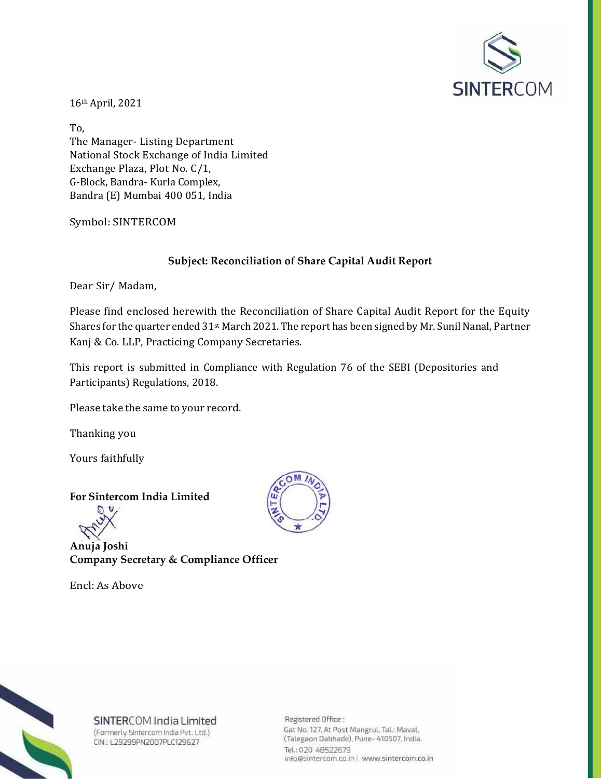

16th April, 2021

To, The Manager- Listing Department National Stock Exchange of India Limited Exchange Plaza, Plot No. C/1, G-Block, Bandra- Kurla Complex, Bandra (E) Mumbai 400 051, India

Symbol: SINTERCOM

## **Subject: Reconciliation of Share Capital Audit Report**

Dear Sir/ Madam,

Please find enclosed herewith the Reconciliation of Share Capital Audit Report for the Equity Shares for the quarter ended 31st March 2021. The report has been signed by Mr. Sunil Nanal, Partner Kanj & Co. LLP, Practicing Company Secretaries.

This report is submitted in Compliance with Regulation 76 of the SEBI (Depositories and Participants) Regulations, 2018.

Please take the same to your record.

Thanking you

Yours faithfully

**For Sintercom India Limited**

**Anuja Joshi Company Secretary & Compliance Officer**

Encl: As Above





SINTERCOM India Limited (Formerly Sintercom India Pvt. Ltd.) CIN.: L29299PN2007PLC129627

Registered Office: Gat No. 127, At Post Mangrul, Tal.: Maval, (Talegaon Dabhade), Pune- 410507. India. Tel.: 020 48522679 info@sintercom.co.in | www.sintercom.co.in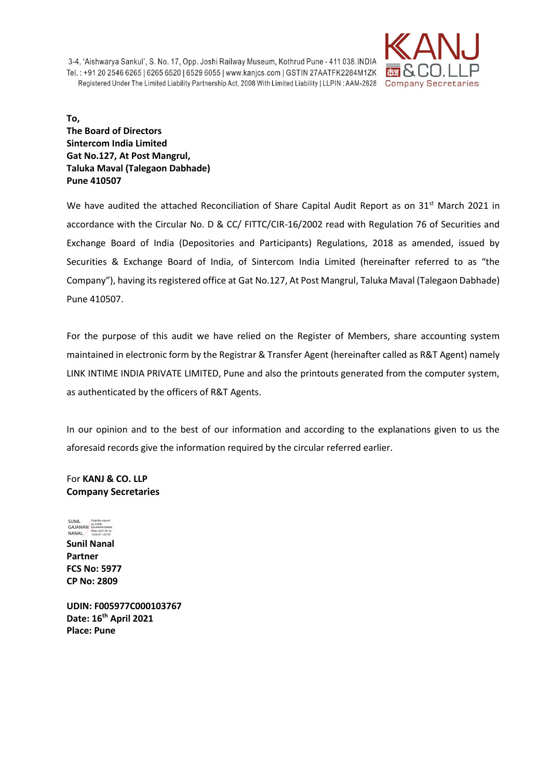

**To, The Board of Directors Sintercom India Limited Gat No.127, At Post Mangrul, Taluka Maval (Talegaon Dabhade) Pune 410507**

We have audited the attached Reconciliation of Share Capital Audit Report as on 31<sup>st</sup> March 2021 in accordance with the Circular No. D & CC/ FITTC/CIR-16/2002 read with Regulation 76 of Securities and Exchange Board of India (Depositories and Participants) Regulations, 2018 as amended, issued by Securities & Exchange Board of India, of Sintercom India Limited (hereinafter referred to as "the Company"), having its registered office at Gat No.127, At Post Mangrul, Taluka Maval (Talegaon Dabhade) Pune 410507.

For the purpose of this audit we have relied on the Register of Members, share accounting system maintained in electronic form by the Registrar & Transfer Agent (hereinafter called as R&T Agent) namely LINK INTIME INDIA PRIVATE LIMITED, Pune and also the printouts generated from the computer system, as authenticated by the officers of R&T Agents.

In our opinion and to the best of our information and according to the explanations given to us the aforesaid records give the information required by the circular referred earlier.

For **KANJ & CO. LLP Company Secretaries** 

**Sunil Nanal Partner FCS No: 5977 CP No: 2809 SUNIL** GAJANAN<br>NANAL Digitally signed by SUNIL GAJANAN NANAL Date: 2021.04.16 10:06:07 +05'30'

**UDIN: F005977C000103767 Date: 16th April 2021 Place: Pune**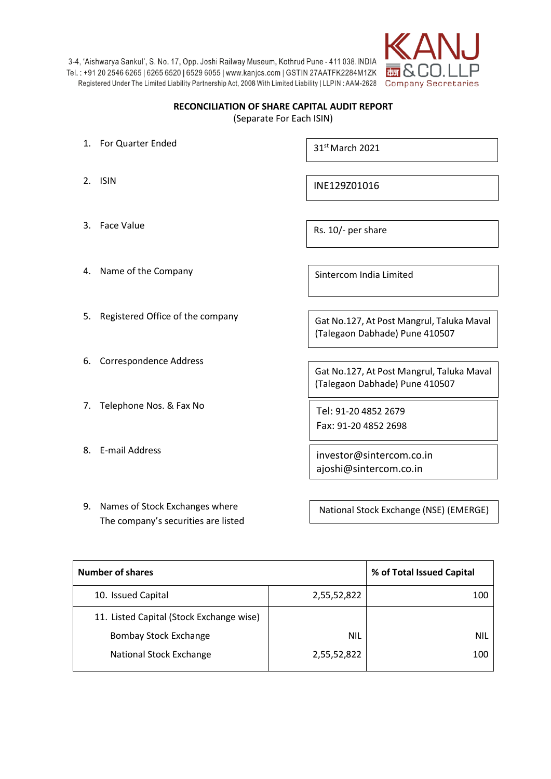

## **RECONCILIATION OF SHARE CAPITAL AUDIT REPORT** (Separate For Each ISIN)

- 1. For Quarter Ended
- 2. ISIN

 $31<sup>st</sup>$  March 2021

INE129Z01016

3. Face Value

Rs. 10/- per share

- 4. Name of the Company
- 5. Registered Office of the company
- 6. Correspondence Address
- 7. Telephone Nos. & Fax No
- 8. E-mail Address

Sintercom India Limited

Gat No.127, At Post Mangrul, Taluka Maval (Talegaon Dabhade) Pune 410507

Gat No.127, At Post Mangrul, Taluka Maval (Talegaon Dabhade) Pune 410507

Tel: 91-20 4852 2679 Fax: 91-20 4852 2698

investor@sintercom.co.in ajoshi@sintercom.co.in

9. Names of Stock Exchanges where The company's securities are listed

National Stock Exchange (NSE) (EMERGE)

| <b>Number of shares</b>                  |             | % of Total Issued Capital |
|------------------------------------------|-------------|---------------------------|
| 10. Issued Capital                       | 2,55,52,822 | 100                       |
| 11. Listed Capital (Stock Exchange wise) |             |                           |
| <b>Bombay Stock Exchange</b>             | <b>NIL</b>  | <b>NIL</b>                |
| National Stock Exchange                  | 2,55,52,822 | 100                       |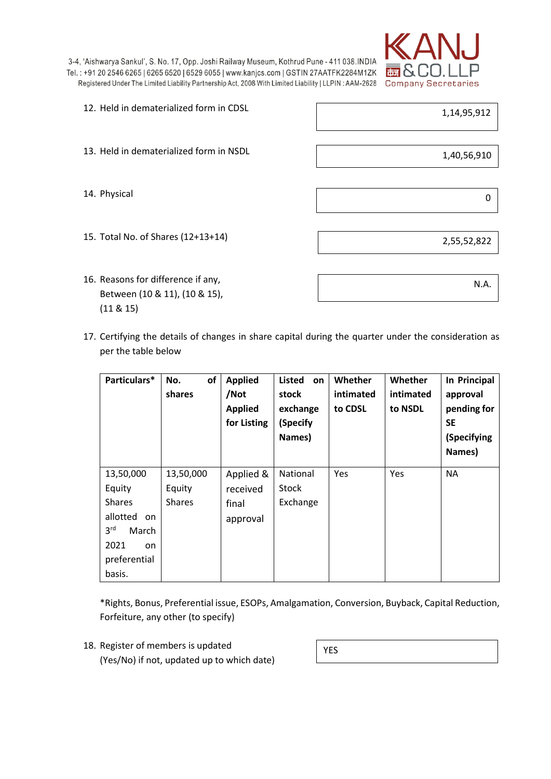

- 12. Held in dematerialized form in CDSL 13. Held in dematerialized form in NSDL 14. Physical 15. Total No. of Shares (12+13+14) 1,14,95,912 1,40,56,910 0
- 16. Reasons for difference if any, Between (10 & 11), (10 & 15), (11 & 15)

2,55,52,822

N.A.

17. Certifying the details of changes in share capital during the quarter under the consideration as per the table below

| Particulars*                                                                                                                | οf<br>No.<br>shares                  | <b>Applied</b><br>/Not<br><b>Applied</b><br>for Listing | Listed<br>on<br>stock<br>exchange<br>(Specify<br>Names) | Whether<br>intimated<br>to CDSL | Whether<br>intimated<br>to NSDL | In Principal<br>approval<br>pending for<br><b>SE</b><br>(Specifying<br>Names) |
|-----------------------------------------------------------------------------------------------------------------------------|--------------------------------------|---------------------------------------------------------|---------------------------------------------------------|---------------------------------|---------------------------------|-------------------------------------------------------------------------------|
| 13,50,000<br>Equity<br><b>Shares</b><br>allotted<br>on.<br>3 <sup>rd</sup><br>March<br>2021<br>on<br>preferential<br>basis. | 13,50,000<br>Equity<br><b>Shares</b> | Applied &<br>received<br>final<br>approval              | National<br><b>Stock</b><br>Exchange                    | Yes                             | Yes                             | <b>NA</b>                                                                     |

\*Rights, Bonus, Preferential issue, ESOPs, Amalgamation, Conversion, Buyback, Capital Reduction, Forfeiture, any other (to specify)

18. Register of members is updated (Yes/No) if not, updated up to which date)

YES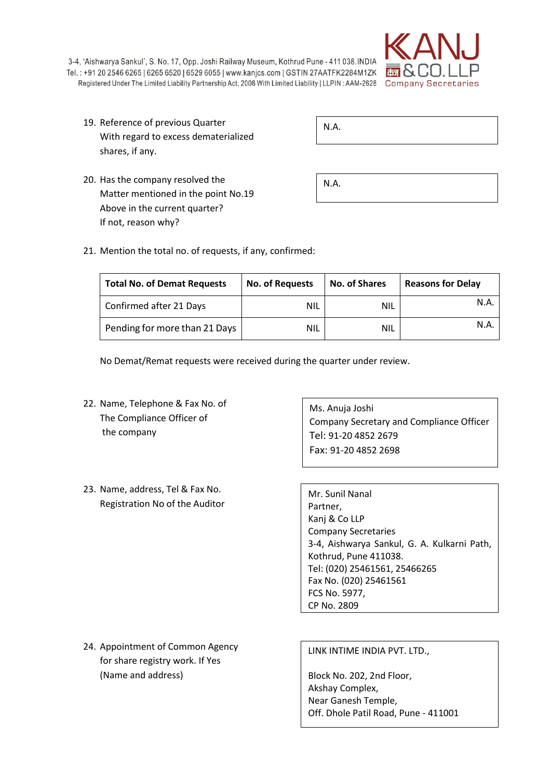

| 19. Reference of previous Quarter    |
|--------------------------------------|
| With regard to excess dematerialized |
| shares, if any.                      |

| $\vert$ N.A. |  |  |  |
|--------------|--|--|--|
|              |  |  |  |

20. Has the company resolved the Matter mentioned in the point No.19 Above in the current quarter? If not, reason why?

| N.A. |  |  |  |
|------|--|--|--|
|------|--|--|--|

21. Mention the total no. of requests, if any, confirmed:

| <b>Total No. of Demat Requests</b> | <b>No. of Requests</b> | <b>No. of Shares</b> | <b>Reasons for Delay</b> |
|------------------------------------|------------------------|----------------------|--------------------------|
| Confirmed after 21 Days            | <b>NIL</b>             | <b>NIL</b>           | N.A                      |
| Pending for more than 21 Days      | <b>NIL</b>             | <b>NIL</b>           | N.A                      |

No Demat/Remat requests were received during the quarter under review.

22. Name, Telephone & Fax No. of The Compliance Officer of the company

23. Name, address, Tel & Fax No. Registration No of the Auditor

Ms. Anuja Joshi Company Secretary and Compliance Officer Tel: 91-20 4852 2679 Fax: 91-20 4852 2698

Mr. Sunil Nanal Partner, Kanj & Co LLP Company Secretaries 3-4, Aishwarya Sankul, G. A. Kulkarni Path, Kothrud, Pune 411038. Tel: (020) 25461561, 25466265 Fax No. (020) 25461561 FCS No. 5977, CP No. 2809

24. Appointment of Common Agency for share registry work. If Yes (Name and address)

LINK INTIME INDIA PVT. LTD.,

Block No. 202, 2nd Floor, Akshay Complex, Near Ganesh Temple, Off. Dhole Patil Road, Pune - 411001